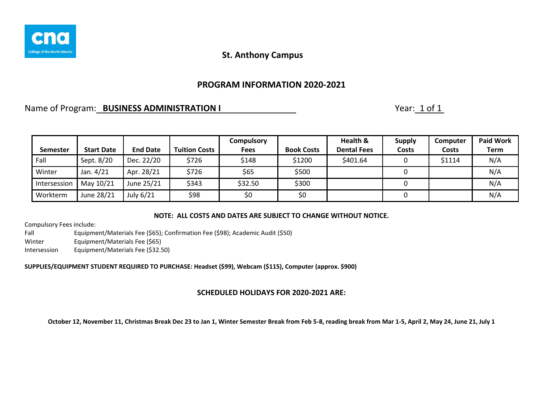

### **PROGRAM INFORMATION 2020-2021**

### Name of Program: **BUSINESS ADMINISTRATION I** Name of Program: 1 of 1

|                 |                   |                 |                      | <b>Compulsory</b> |                   | Health &           | <b>Supply</b> | <b>Computer</b> | <b>Paid Work</b> |
|-----------------|-------------------|-----------------|----------------------|-------------------|-------------------|--------------------|---------------|-----------------|------------------|
| <b>Semester</b> | <b>Start Date</b> | <b>End Date</b> | <b>Tuition Costs</b> | <b>Fees</b>       | <b>Book Costs</b> | <b>Dental Fees</b> | <b>Costs</b>  | Costs           | Term             |
| Fall            | Sept. 8/20        | Dec. 22/20      | \$726                | \$148             | \$1200            | \$401.64           |               | \$1114          | N/A              |
| Winter          | Jan. 4/21         | Apr. 28/21      | \$726                | \$65              | \$500             |                    |               |                 | N/A              |
| Intersession    | May 10/21         | June 25/21      | \$343                | \$32.50           | \$300             |                    |               |                 | N/A              |
| Workterm        | June 28/21        | July 6/21       | \$98                 | \$0               | \$0               |                    |               |                 | N/A              |

#### **NOTE: ALL COSTS AND DATES ARE SUBJECT TO CHANGE WITHOUT NOTICE.**

Compulsory Fees include:

Fall Equipment/Materials Fee (\$65); Confirmation Fee (\$98); Academic Audit (\$50) Winter Equipment/Materials Fee (\$65) Intersession Equipment/Materials Fee (\$32.50)

**SUPPLIES/EQUIPMENT STUDENT REQUIRED TO PURCHASE: Headset (\$99), Webcam (\$115), Computer (approx. \$900)**

### **SCHEDULED HOLIDAYS FOR 2020-2021 ARE:**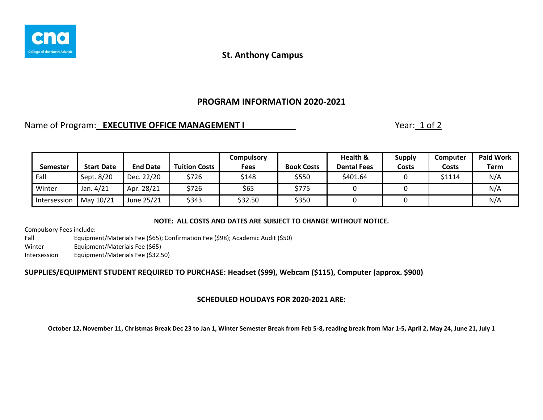

# **PROGRAM INFORMATION 2020-2021**

### Name of Program: **EXECUTIVE OFFICE MANAGEMENT I** Nearly 2004 2014 2015

| <b>Semester</b> | <b>Start Date</b> | <b>End Date</b> | <b>Tuition Costs</b> | Compulsory<br><b>Fees</b> | <b>Book Costs</b> | Health &<br><b>Dental Fees</b> | <b>Supply</b><br>Costs | Computer<br>Costs | <b>Paid Work</b><br>Term |
|-----------------|-------------------|-----------------|----------------------|---------------------------|-------------------|--------------------------------|------------------------|-------------------|--------------------------|
| Fall            | Sept. 8/20        | Dec. 22/20      | \$726                | \$148                     | \$550             | \$401.64                       |                        | \$1114            | N/A                      |
| Winter          | Jan. 4/21         | Apr. 28/21      | \$726                | \$65                      | \$775             |                                |                        |                   | N/A                      |
| Intersession    | May 10/21         | June 25/21      | \$343                | \$32.50                   | \$350             |                                |                        |                   | N/A                      |

### **NOTE: ALL COSTS AND DATES ARE SUBJECT TO CHANGE WITHOUT NOTICE.**

Compulsory Fees include:

Fall Equipment/Materials Fee (\$65); Confirmation Fee (\$98); Academic Audit (\$50) Winter Equipment/Materials Fee (\$65) Intersession Equipment/Materials Fee (\$32.50)

### **SUPPLIES/EQUIPMENT STUDENT REQUIRED TO PURCHASE: Headset (\$99), Webcam (\$115), Computer (approx. \$900)**

### **SCHEDULED HOLIDAYS FOR 2020-2021 ARE:**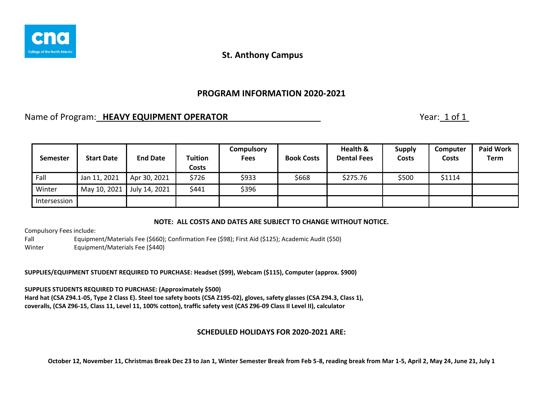

### **PROGRAM INFORMATION 2020-2021**

# Name of Program: **HEAVY EQUIPMENT OPERATOR** Name of Program: 1 of 1

| <b>Semester</b> | <b>Start Date</b> | <b>End Date</b> | <b>Tuition</b><br><b>Costs</b> | <b>Compulsory</b><br><b>Fees</b> | <b>Book Costs</b> | Health &<br><b>Dental Fees</b> | <b>Supply</b><br><b>Costs</b> | Computer<br>Costs | <b>Paid Work</b><br><b>Term</b> |
|-----------------|-------------------|-----------------|--------------------------------|----------------------------------|-------------------|--------------------------------|-------------------------------|-------------------|---------------------------------|
| Fall            | Jan 11, 2021      | Apr 30, 2021    | \$726                          | \$933                            | \$668             | \$275.76                       | \$500                         | \$1114            |                                 |
| Winter          | May 10, 2021      | July 14, 2021   | \$441                          | \$396                            |                   |                                |                               |                   |                                 |
| Intersession    |                   |                 |                                |                                  |                   |                                |                               |                   |                                 |

### **NOTE: ALL COSTS AND DATES ARE SUBJECT TO CHANGE WITHOUT NOTICE.**

Compulsory Fees include:

Fall Equipment/Materials Fee (\$660); Confirmation Fee (\$98); First Aid (\$125); Academic Audit (\$50) Winter Equipment/Materials Fee (\$440)

**SUPPLIES/EQUIPMENT STUDENT REQUIRED TO PURCHASE: Headset (\$99), Webcam (\$115), Computer (approx. \$900)**

**SUPPLIES STUDENTS REQUIRED TO PURCHASE: (Approximately \$500) Hard hat (CSA Z94.1-05, Type 2 Class E). Steel toe safety boots (CSA Z195-02), gloves, safety glasses (CSA Z94.3, Class 1), coveralls, (CSA Z96-15, Class 11, Level 11, 100% cotton), traffic safety vest (CAS Z96-09 Class II Level II), calculator**

### **SCHEDULED HOLIDAYS FOR 2020-2021 ARE:**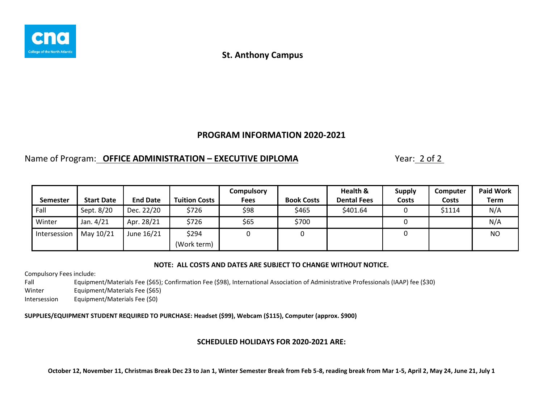

### **PROGRAM INFORMATION 2020-2021**

# Name of Program: **OFFICE ADMINISTRATION – EXECUTIVE DIPLOMA** Year: 2 of 2

|              |                   |                 |                      | <b>Compulsory</b> |                   | Health &           | <b>Supply</b> | Computer | <b>Paid Work</b> |
|--------------|-------------------|-----------------|----------------------|-------------------|-------------------|--------------------|---------------|----------|------------------|
| Semester     | <b>Start Date</b> | <b>End Date</b> | <b>Tuition Costs</b> | Fees              | <b>Book Costs</b> | <b>Dental Fees</b> | Costs         | Costs    | Term             |
| Fall         | Sept. 8/20        | Dec. 22/20      | \$726                | \$98              | \$465             | \$401.64           |               | \$1114   | N/A              |
| Winter       | Jan. 4/21         | Apr. 28/21      | \$726                | \$65              | \$700             |                    |               |          | N/A              |
| Intersession | May 10/21         | June 16/21      | \$294                |                   |                   |                    |               |          | N <sub>O</sub>   |
|              |                   |                 | (Work term)          |                   |                   |                    |               |          |                  |

#### **NOTE: ALL COSTS AND DATES ARE SUBJECT TO CHANGE WITHOUT NOTICE.**

Compulsory Fees include:

Fall Equipment/Materials Fee (\$65); Confirmation Fee (\$98), International Association of Administrative Professionals (IAAP) fee (\$30)

Winter Equipment/Materials Fee (\$65)

Intersession Equipment/Materials Fee (\$0)

**SUPPLIES/EQUIPMENT STUDENT REQUIRED TO PURCHASE: Headset (\$99), Webcam (\$115), Computer (approx. \$900)**

### **SCHEDULED HOLIDAYS FOR 2020-2021 ARE:**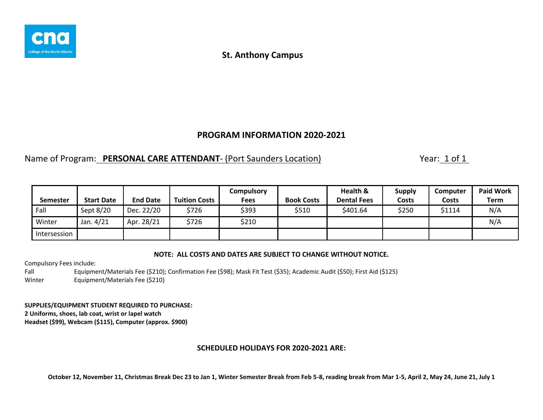

### **PROGRAM INFORMATION 2020-2021**

# Name of Program: **PERSONAL CARE ATTENDANT**- (Port Saunders Location) Year: 1 of 1

|                 |                   |                 |                      | Compulsory |                   | Health &           | <b>Supply</b> | Computer | <b>Paid Work</b> |
|-----------------|-------------------|-----------------|----------------------|------------|-------------------|--------------------|---------------|----------|------------------|
| <b>Semester</b> | <b>Start Date</b> | <b>End Date</b> | <b>Tuition Costs</b> | Fees       | <b>Book Costs</b> | <b>Dental Fees</b> | Costs         | Costs    | Term             |
| Fall            | Sept 8/20         | Dec. 22/20      | \$726                | \$393      | \$510             | \$401.64           | \$250         | \$1114   | N/A              |
| Winter          | Jan. 4/21         | Apr. 28/21      | \$726                | \$210      |                   |                    |               |          | N/A              |
| Intersession    |                   |                 |                      |            |                   |                    |               |          |                  |

#### **NOTE: ALL COSTS AND DATES ARE SUBJECT TO CHANGE WITHOUT NOTICE.**

Compulsory Fees include:

Fall Equipment/Materials Fee (\$210); Confirmation Fee (\$98); Mask Fit Test (\$35); Academic Audit (\$50); First Aid (\$125) Winter Equipment/Materials Fee (\$210)

**SUPPLIES/EQUIPMENT STUDENT REQUIRED TO PURCHASE: 2 Uniforms, shoes, lab coat, wrist or lapel watch Headset (\$99), Webcam (\$115), Computer (approx. \$900)**

### **SCHEDULED HOLIDAYS FOR 2020-2021 ARE:**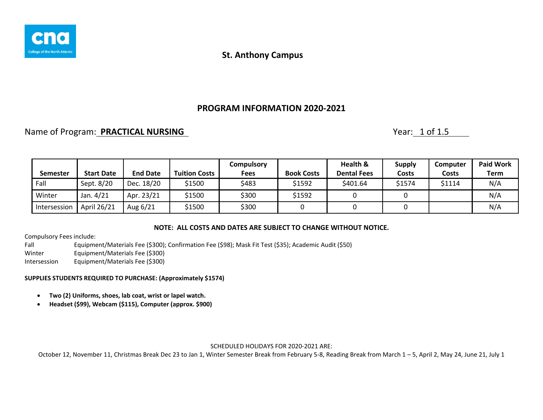

# **PROGRAM INFORMATION 2020-2021**

# Name of Program: **PRACTICAL NURSING** Nurses and Nurses of Program: 1 of 1.5

|                 |                   |                 |                      | Compulsory |                   | Health &           | <b>Supply</b> | Computer     | <b>Paid Work</b> |
|-----------------|-------------------|-----------------|----------------------|------------|-------------------|--------------------|---------------|--------------|------------------|
| <b>Semester</b> | <b>Start Date</b> | <b>End Date</b> | <b>Tuition Costs</b> | Fees       | <b>Book Costs</b> | <b>Dental Fees</b> | <b>Costs</b>  | <b>Costs</b> | <b>Term</b>      |
| Fall            | Sept. 8/20        | Dec. 18/20      | \$1500               | \$483      | \$1592            | \$401.64           | \$1574        | \$1114       | N/A              |
| Winter          | Jan. 4/21         | Apr. 23/21      | \$1500               | \$300      | \$1592            |                    |               |              | N/A              |
| Intersession    | April 26/21       | Aug 6/21        | \$1500               | \$300      |                   |                    |               |              | N/A              |

### **NOTE: ALL COSTS AND DATES ARE SUBJECT TO CHANGE WITHOUT NOTICE.**

Compulsory Fees include:

Fall Equipment/Materials Fee (\$300); Confirmation Fee (\$98); Mask Fit Test (\$35); Academic Audit (\$50) Winter Equipment/Materials Fee (\$300) Intersession Equipment/Materials Fee (\$300)

#### **SUPPLIES STUDENTS REQUIRED TO PURCHASE: (Approximately \$1574)**

- **Two (2) Uniforms, shoes, lab coat, wrist or lapel watch.**
- **Headset (\$99), Webcam (\$115), Computer (approx. \$900)**

#### SCHEDULED HOLIDAYS FOR 2020-2021 ARE: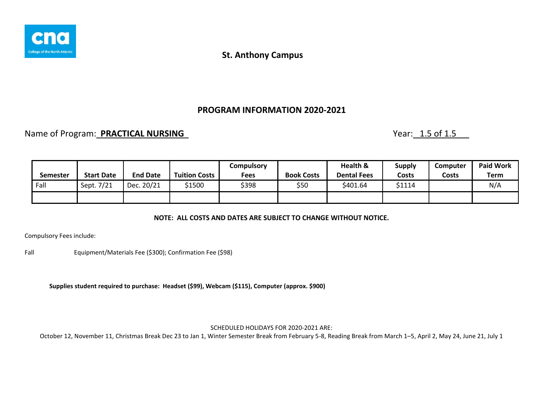

### **PROGRAM INFORMATION 2020-2021**

# Name of Program: **PRACTICAL NURSING Name of Program: PRACTICAL NURSING**

| <b>Semester</b> | <b>Start Date</b> | <b>End Date</b> | <b>Tuition Costs</b> | Compulsory<br>Fees | <b>Book Costs</b> | Health &<br><b>Dental Fees</b> | <b>Supply</b><br>Costs | <b>Computer</b><br>Costs | <b>Paid Work</b><br>Term |
|-----------------|-------------------|-----------------|----------------------|--------------------|-------------------|--------------------------------|------------------------|--------------------------|--------------------------|
| Fall            | Sept. 7/21        | Dec. 20/21      | \$1500               | \$398              | \$50              | \$401.64                       | \$1114                 |                          | N/A                      |
|                 |                   |                 |                      |                    |                   |                                |                        |                          |                          |

### **NOTE: ALL COSTS AND DATES ARE SUBJECT TO CHANGE WITHOUT NOTICE.**

Compulsory Fees include:

Fall Equipment/Materials Fee (\$300); Confirmation Fee (\$98)

**Supplies student required to purchase: Headset (\$99), Webcam (\$115), Computer (approx. \$900)**

SCHEDULED HOLIDAYS FOR 2020-2021 ARE: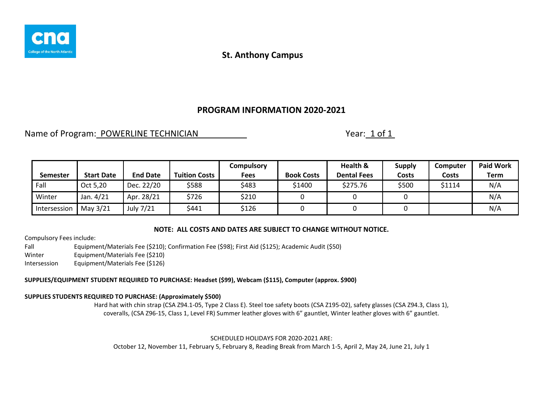

# **PROGRAM INFORMATION 2020-2021**

Name of Program: POWERLINE TECHNICIAN Name of Program: 1 of 1

| <b>Semester</b> | <b>Start Date</b> | <b>End Date</b> | <b>Tuition Costs</b> | Compulsory<br>Fees | <b>Book Costs</b> | Health &<br><b>Dental Fees</b> | <b>Supply</b><br>Costs | Computer<br><b>Costs</b> | <b>Paid Work</b><br>Term |
|-----------------|-------------------|-----------------|----------------------|--------------------|-------------------|--------------------------------|------------------------|--------------------------|--------------------------|
| Fall            | Oct 5,20          | Dec. 22/20      | \$588                | \$483              | \$1400            | \$275.76                       | \$500                  | \$1114                   | N/A                      |
| Winter          | Jan. 4/21         | Apr. 28/21      | \$726                | \$210              |                   |                                |                        |                          | N/A                      |
| Intersession    | May 3/21          | July 7/21       | \$441                | \$126              |                   |                                |                        |                          | N/A                      |

### **NOTE: ALL COSTS AND DATES ARE SUBJECT TO CHANGE WITHOUT NOTICE.**

Compulsory Fees include:

Fall Equipment/Materials Fee (\$210); Confirmation Fee (\$98); First Aid (\$125); Academic Audit (\$50) Winter Equipment/Materials Fee (\$210) Intersession Equipment/Materials Fee (\$126)

#### **SUPPLIES/EQUIPMENT STUDENT REQUIRED TO PURCHASE: Headset (\$99), Webcam (\$115), Computer (approx. \$900)**

#### **SUPPLIES STUDENTS REQUIRED TO PURCHASE: (Approximately \$500)**

Hard hat with chin strap (CSA Z94.1-05, Type 2 Class E). Steel toe safety boots (CSA Z195-02), safety glasses (CSA Z94.3, Class 1), coveralls, (CSA Z96-15, Class 1, Level FR) Summer leather gloves with 6" gauntlet, Winter leather gloves with 6" gauntlet.

SCHEDULED HOLIDAYS FOR 2020-2021 ARE:

October 12, November 11, February 5, February 8, Reading Break from March 1-5, April 2, May 24, June 21, July 1